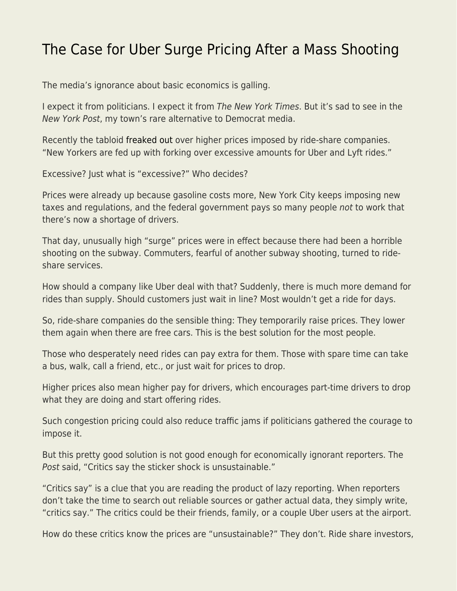## [The Case for Uber Surge Pricing After a Mass Shooting](https://everything-voluntary.com/the-case-for-uber-surge-pricing-after-a-mass-shooting)

The media's ignorance about basic economics is galling.

I expect it from politicians. I expect it from The New York Times. But it's sad to see in the New York Post, my town's rare alternative to Democrat media.

Recently the tabloid [freaked out](https://nypost.com/2022/04/15/uber-taking-advantage-with-soaring-fares-outraged-riders/) over higher prices imposed by ride-share companies. "New Yorkers are fed up with forking over excessive amounts for Uber and Lyft rides."

Excessive? Just what is "excessive?" Who decides?

Prices were already up because gasoline costs more, New York City keeps imposing new taxes and regulations, and the federal government pays so many people not to work that there's now a shortage of drivers.

That day, unusually high "surge" prices were in effect because there had been a horrible shooting on the subway. Commuters, fearful of another subway shooting, turned to rideshare services.

How should a company like Uber deal with that? Suddenly, there is much more demand for rides than supply. Should customers just wait in line? Most wouldn't get a ride for days.

So, ride-share companies do the sensible thing: They temporarily raise prices. They lower them again when there are free cars. This is the best solution for the most people.

Those who desperately need rides can pay extra for them. Those with spare time can take a bus, walk, call a friend, etc., or just wait for prices to drop.

Higher prices also mean higher pay for drivers, which encourages part-time drivers to drop what they are doing and start offering rides.

Such congestion pricing could also reduce traffic jams if politicians gathered the courage to impose it.

But this pretty good solution is not good enough for economically ignorant reporters. The Post said, "Critics say the sticker shock is unsustainable."

"Critics say" is a clue that you are reading the product of lazy reporting. When reporters don't take the time to search out reliable sources or gather actual data, they simply write, "critics say." The critics could be their friends, family, or a couple Uber users at the airport.

How do these critics know the prices are "unsustainable?" They don't. Ride share investors,